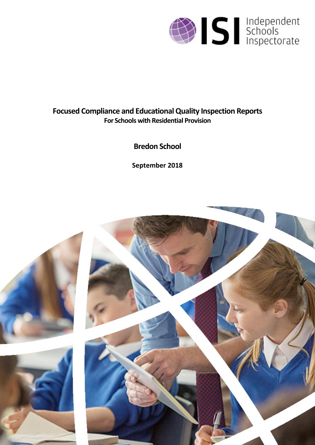

# **Focused Compliance and EducationalQuality Inspection Reports For Schools with Residential Provision**

**Bredon School**

**September 2018**

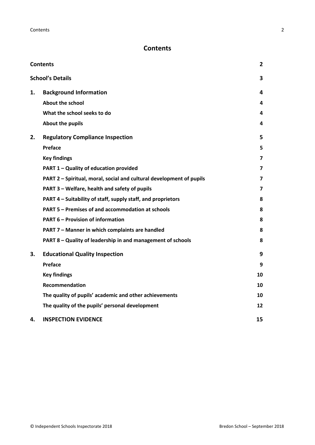# <span id="page-1-0"></span>**Contents**

| <b>Contents</b> |                                                                      | 2  |
|-----------------|----------------------------------------------------------------------|----|
|                 | <b>School's Details</b>                                              | 3  |
| 1.              | <b>Background Information</b>                                        | 4  |
|                 | <b>About the school</b>                                              | 4  |
|                 | What the school seeks to do                                          | 4  |
|                 | About the pupils                                                     | 4  |
| 2.              | <b>Regulatory Compliance Inspection</b>                              | 5  |
|                 | <b>Preface</b>                                                       | 5  |
|                 | <b>Key findings</b>                                                  | 7  |
|                 | PART 1 - Quality of education provided                               | 7  |
|                 | PART 2 - Spiritual, moral, social and cultural development of pupils | 7  |
|                 | PART 3 - Welfare, health and safety of pupils                        | 7  |
|                 | PART 4 - Suitability of staff, supply staff, and proprietors         | 8  |
|                 | PART 5 - Premises of and accommodation at schools                    | 8  |
|                 | <b>PART 6 - Provision of information</b>                             | 8  |
|                 | PART 7 - Manner in which complaints are handled                      | 8  |
|                 | PART 8 - Quality of leadership in and management of schools          | 8  |
| 3.              | <b>Educational Quality Inspection</b>                                | 9  |
|                 | Preface                                                              | 9  |
|                 | <b>Key findings</b>                                                  | 10 |
|                 | <b>Recommendation</b>                                                | 10 |
|                 | The quality of pupils' academic and other achievements               | 10 |
|                 | The quality of the pupils' personal development                      | 12 |
| 4.              | <b>INSPECTION EVIDENCE</b>                                           | 15 |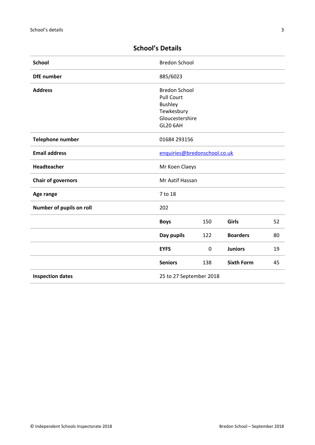| <b>Bredon School</b>                                                                                            |     |                   |    |
|-----------------------------------------------------------------------------------------------------------------|-----|-------------------|----|
| 885/6023                                                                                                        |     |                   |    |
| <b>Bredon School</b><br><b>Pull Court</b><br><b>Bushley</b><br>Tewkesbury<br>Gloucestershire<br><b>GL20 6AH</b> |     |                   |    |
| 01684 293156                                                                                                    |     |                   |    |
| <b>Email address</b><br>enquiries@bredonschool.co.uk                                                            |     |                   |    |
| Mr Koen Claeys                                                                                                  |     |                   |    |
| Mr Aatif Hassan                                                                                                 |     |                   |    |
| 7 to 18                                                                                                         |     |                   |    |
| 202                                                                                                             |     |                   |    |
| <b>Boys</b>                                                                                                     | 150 | Girls             | 52 |
| Day pupils                                                                                                      | 122 | <b>Boarders</b>   | 80 |
| <b>EYFS</b>                                                                                                     | 0   | <b>Juniors</b>    | 19 |
| <b>Seniors</b>                                                                                                  | 138 | <b>Sixth Form</b> | 45 |
| 25 to 27 September 2018                                                                                         |     |                   |    |
|                                                                                                                 |     |                   |    |

# <span id="page-2-0"></span>**School's Details**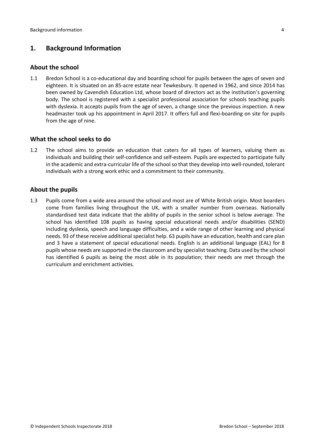## <span id="page-3-0"></span>**1. Background Information**

#### <span id="page-3-1"></span>**About the school**

1.1 Bredon School is a co-educational day and boarding school for pupils between the ages of seven and eighteen. It is situated on an 85-acre estate near Tewkesbury. It opened in 1962, and since 2014 has been owned by Cavendish Education Ltd, whose board of directors act as the institution's governing body. The school is registered with a specialist professional association for schools teaching pupils with dyslexia. It accepts pupils from the age of seven, a change since the previous inspection. A new headmaster took up his appointment in April 2017. It offers full and flexi-boarding on site for pupils from the age of nine.

#### <span id="page-3-2"></span>**What the school seeks to do**

1.2 The school aims to provide an education that caters for all types of learners, valuing them as individuals and building their self-confidence and self-esteem. Pupils are expected to participate fully in the academic and extra-curricular life of the school so that they develop into well-rounded, tolerant individuals with a strong work ethic and a commitment to their community.

#### <span id="page-3-3"></span>**About the pupils**

1.3 Pupils come from a wide area around the school and most are of White British origin. Most boarders come from families living throughout the UK, with a smaller number from overseas. Nationally standardised test data indicate that the ability of pupils in the senior school is below average. The school has identified 108 pupils as having special educational needs and/or disabilities (SEND) including dyslexia, speech and language difficulties, and a wide range of other learning and physical needs. 93 of these receive additional specialist help. 63 pupils have an education, health and care plan and 3 have a statement of special educational needs. English is an additional language (EAL) for 8 pupils whose needs are supported in the classroom and by specialist teaching. Data used by the school has identified 6 pupils as being the most able in its population; their needs are met through the curriculum and enrichment activities.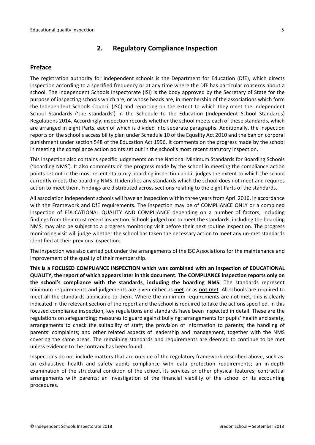### <span id="page-4-0"></span>**2. Regulatory Compliance Inspection**

#### <span id="page-4-1"></span>**Preface**

The registration authority for independent schools is the Department for Education (DfE), which directs inspection according to a specified frequency or at any time where the DfE has particular concerns about a school. The Independent Schools Inspectorate (ISI) is the body approved by the Secretary of State for the purpose of inspecting schools which are, or whose heads are, in membership of the associations which form the Independent Schools Council (ISC) and reporting on the extent to which they meet the Independent School Standards ('the standards') in the Schedule to the Education (Independent School Standards) Regulations 2014. Accordingly, inspection records whether the school meets each of these standards, which are arranged in eight Parts, each of which is divided into separate paragraphs. Additionally, the inspection reports on the school's accessibility plan under Schedule 10 of the Equality Act 2010 and the ban on corporal punishment under section 548 of the Education Act 1996. It comments on the progress made by the school in meeting the compliance action points set out in the school's most recent statutory inspection.

This inspection also contains specific judgements on the National Minimum Standards for Boarding Schools ('boarding NMS'). It also comments on the progress made by the school in meeting the compliance action points set out in the most recent statutory boarding inspection and it judges the extent to which the school currently meets the boarding NMS. It identifies any standards which the school does not meet and requires action to meet them. Findings are distributed across sections relating to the eight Parts of the standards.

All association independent schools will have an inspection within three yearsfrom April 2016, in accordance with the Framework and DfE requirements. The inspection may be of COMPLIANCE ONLY or a combined inspection of EDUCATIONAL QUALITY AND COMPLIANCE depending on a number of factors, including findings from their most recent inspection. Schools judged not to meet the standards, including the boarding NMS, may also be subject to a progress monitoring visit before their next routine inspection. The progress monitoring visit will judge whether the school has taken the necessary action to meet any un-met standards identified at their previous inspection.

The inspection was also carried out under the arrangements of the ISC Associations for the maintenance and improvement of the quality of their membership.

**This is a FOCUSED COMPLIANCE INSPECTION which was combined with an inspection of EDUCATIONAL QUALITY, the report of which appears later in this document. The COMPLIANCE inspection reports only on the school's compliance with the standards**, **including the boarding NMS.** The standards represent minimum requirements and judgements are given either as **met** or as **not met**. All schools are required to meet all the standards applicable to them. Where the minimum requirements are not met, this is clearly indicated in the relevant section of the report and the school is required to take the actions specified. In this focused compliance inspection, key regulations and standards have been inspected in detail. These are the regulations on safeguarding; measures to guard against bullying; arrangements for pupils' health and safety, arrangements to check the suitability of staff; the provision of information to parents; the handling of parents' complaints; and other related aspects of leadership and management, together with the NMS covering the same areas. The remaining standards and requirements are deemed to continue to be met unless evidence to the contrary has been found.

Inspections do not include matters that are outside of the regulatory framework described above, such as: an exhaustive health and safety audit; compliance with data protection requirements; an in-depth examination of the structural condition of the school, its services or other physical features; contractual arrangements with parents; an investigation of the financial viability of the school or its accounting procedures.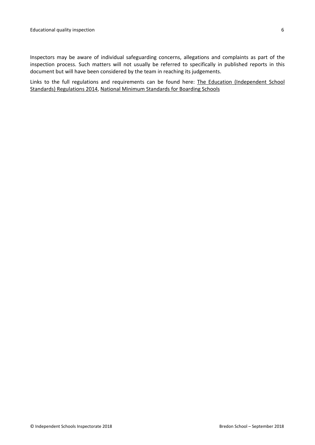Inspectors may be aware of individual safeguarding concerns, allegations and complaints as part of the inspection process. Such matters will not usually be referred to specifically in published reports in this document but will have been considered by the team in reaching its judgements.

Links to the full regulations and requirements can be found here: The Education [\(Independent](http://www.legislation.gov.uk/uksi/2014/3283/contents/made) School Standards) [Regulations](http://www.legislation.gov.uk/uksi/2014/3283/contents/made) 2014, National Minimum [Standards](https://www.gov.uk/government/uploads/system/uploads/attachment_data/file/416186/20150319_nms_bs_standards.pdf) for Boarding Schools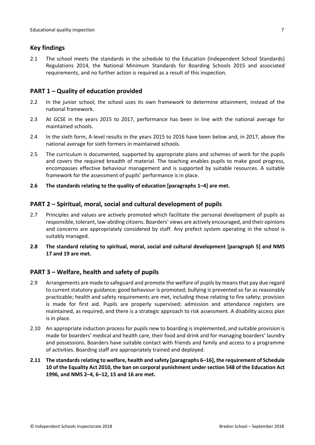#### <span id="page-6-0"></span>**Key findings**

2.1 The school meets the standards in the schedule to the Education (Independent School Standards) Regulations 2014, the National Minimum Standards for Boarding Schools 2015 and associated requirements, and no further action is required as a result of this inspection.

#### <span id="page-6-1"></span>**PART 1 – Quality of education provided**

- 2.2 In the junior school, the school uses its own framework to determine attainment, instead of the national framework.
- 2.3 At GCSE in the years 2015 to 2017, performance has been in line with the national average for maintained schools.
- 2.4 In the sixth form, A-level results in the years 2015 to 2016 have been below and, in 2017, above the national average for sixth formers in maintained schools.
- 2.5 The curriculum is documented, supported by appropriate plans and schemes of work for the pupils and covers the required breadth of material. The teaching enables pupils to make good progress, encompasses effective behaviour management and is supported by suitable resources. A suitable framework for the assessment of pupils' performance is in place.
- **2.6 The standards relating to the quality of education [paragraphs 1–4] are met.**

#### <span id="page-6-2"></span>**PART 2 – Spiritual, moral, social and cultural development of pupils**

- 2.7 Principles and values are actively promoted which facilitate the personal development of pupils as responsible, tolerant, law-abiding citizens. Boarders' views are actively encouraged, and their opinions and concerns are appropriately considered by staff. Any prefect system operating in the school is suitably managed.
- **2.8 The standard relating to spiritual, moral, social and cultural development [paragraph 5] and NMS 17 and 19 are met.**

#### <span id="page-6-3"></span>**PART 3 – Welfare, health and safety of pupils**

- 2.9 Arrangements are made to safeguard and promote the welfare of pupils by meansthat pay due regard to current statutory guidance; good behaviour is promoted; bullying is prevented so far as reasonably practicable; health and safety requirements are met, including those relating to fire safety; provision is made for first aid. Pupils are properly supervised; admission and attendance registers are maintained, as required, and there is a strategic approach to risk assessment. A disability access plan is in place.
- 2.10 An appropriate induction process for pupils new to boarding is implemented, and suitable provision is made for boarders' medical and health care, their food and drink and for managing boarders' laundry and possessions. Boarders have suitable contact with friends and family and access to a programme of activities. Boarding staff are appropriately trained and deployed.
- **2.11 The standardsrelating to welfare, health and safety [paragraphs 6–16], the requirement of Schedule 10 of the Equality Act 2010, the ban on corporal punishment under section 548 of the Education Act 1996, and NMS 2–4, 6–12, 15 and 16 are met.**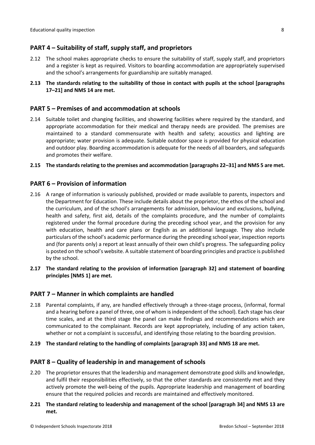### <span id="page-7-0"></span>**PART 4 – Suitability of staff, supply staff, and proprietors**

- 2.12 The school makes appropriate checks to ensure the suitability of staff, supply staff, and proprietors and a register is kept as required. Visitors to boarding accommodation are appropriately supervised and the school's arrangements for guardianship are suitably managed.
- **2.13 The standards relating to the suitability of those in contact with pupils at the school [paragraphs 17–21] and NMS 14 are met.**

#### <span id="page-7-1"></span>**PART 5 – Premises of and accommodation at schools**

2.14 Suitable toilet and changing facilities, and showering facilities where required by the standard, and appropriate accommodation for their medical and therapy needs are provided. The premises are maintained to a standard commensurate with health and safety; acoustics and lighting are appropriate; water provision is adequate. Suitable outdoor space is provided for physical education and outdoor play. Boarding accommodation is adequate for the needs of all boarders, and safeguards and promotes their welfare.

#### **2.15 The standardsrelating to the premises and accommodation [paragraphs 22–31] and NMS 5 are met.**

#### <span id="page-7-2"></span>**PART 6 – Provision of information**

- 2.16 A range of information is variously published, provided or made available to parents, inspectors and the Department for Education. These include details about the proprietor, the ethos of the school and the curriculum, and of the school's arrangements for admission, behaviour and exclusions, bullying, health and safety, first aid, details of the complaints procedure, and the number of complaints registered under the formal procedure during the preceding school year, and the provision for any with education, health and care plans or English as an additional language. They also include particulars of the school's academic performance during the preceding school year, inspection reports and (for parents only) a report at least annually of their own child's progress. The safeguarding policy is posted on the school's website. A suitable statement of boarding principles and practice is published by the school.
- **2.17 The standard relating to the provision of information [paragraph 32] and statement of boarding principles [NMS 1] are met.**

#### <span id="page-7-3"></span>**PART 7 – Manner in which complaints are handled**

- 2.18 Parental complaints, if any, are handled effectively through a three-stage process, (informal, formal and a hearing before a panel of three, one of whom is independent of the school). Each stage has clear time scales, and at the third stage the panel can make findings and recommendations which are communicated to the complainant. Records are kept appropriately, including of any action taken, whether or not a complaint is successful, and identifying those relating to the boarding provision.
- **2.19 The standard relating to the handling of complaints [paragraph 33] and NMS 18 are met.**

#### <span id="page-7-4"></span>**PART 8 – Quality of leadership in and management of schools**

- 2.20 The proprietor ensures that the leadership and management demonstrate good skills and knowledge, and fulfil their responsibilities effectively, so that the other standards are consistently met and they actively promote the well-being of the pupils. Appropriate leadership and management of boarding ensure that the required policies and records are maintained and effectively monitored.
- **2.21 The standard relating to leadership and management of the school [paragraph 34] and NMS 13 are met.**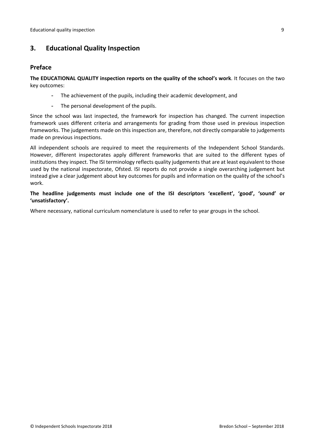## <span id="page-8-0"></span>**3. Educational Quality Inspection**

#### <span id="page-8-1"></span>**Preface**

**The EDUCATIONAL QUALITY inspection reports on the quality of the school's work**. It focuses on the two key outcomes:

- The achievement of the pupils, including their academic development, and
- The personal development of the pupils.

Since the school was last inspected, the framework for inspection has changed. The current inspection framework uses different criteria and arrangements for grading from those used in previous inspection frameworks. The judgements made on this inspection are, therefore, not directly comparable to judgements made on previous inspections.

All independent schools are required to meet the requirements of the Independent School Standards. However, different inspectorates apply different frameworks that are suited to the different types of institutions they inspect. The ISI terminology reflects quality judgements that are at least equivalent to those used by the national inspectorate, Ofsted. ISI reports do not provide a single overarching judgement but instead give a clear judgement about key outcomes for pupils and information on the quality of the school's work.

**The headline judgements must include one of the ISI descriptors 'excellent', 'good', 'sound' or 'unsatisfactory'.**

Where necessary, national curriculum nomenclature is used to refer to year groups in the school.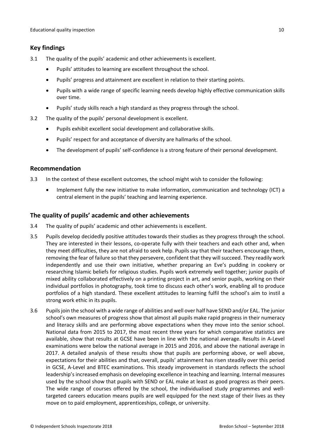## <span id="page-9-0"></span>**Key findings**

- 3.1 The quality of the pupils' academic and other achievements is excellent.
	- Pupils' attitudes to learning are excellent throughout the school.
	- Pupils' progress and attainment are excellent in relation to their starting points.
	- Pupils with a wide range of specific learning needs develop highly effective communication skills over time.
	- Pupils' study skills reach a high standard as they progress through the school.
- 3.2 The quality of the pupils' personal development is excellent.
	- Pupils exhibit excellent social development and collaborative skills.
	- Pupils' respect for and acceptance of diversity are hallmarks of the school.
	- The development of pupils' self-confidence is a strong feature of their personal development.

#### <span id="page-9-1"></span>**Recommendation**

- 3.3 In the context of these excellent outcomes, the school might wish to consider the following:
	- Implement fully the new initiative to make information, communication and technology (ICT) a central element in the pupils' teaching and learning experience.

### <span id="page-9-2"></span>**The quality of pupils' academic and other achievements**

- 3.4 The quality of pupils' academic and other achievements is excellent.
- 3.5 Pupils develop decidedly positive attitudes towards their studies as they progress through the school. They are interested in their lessons, co-operate fully with their teachers and each other and, when they meet difficulties, they are not afraid to seek help. Pupils say that their teachers encourage them, removing the fear of failure so that they persevere, confident that they will succeed. They readily work independently and use their own initiative, whether preparing an Eve's pudding in cookery or researching Islamic beliefs for religious studies. Pupils work extremely well together; junior pupils of mixed ability collaborated effectively on a printing project in art, and senior pupils, working on their individual portfolios in photography, took time to discuss each other's work, enabling all to produce portfolios of a high standard. These excellent attitudes to learning fulfil the school's aim to instil a strong work ethic in its pupils.
- 3.6 Pupilsjoin the school with a wide range of abilities and well over half have SEND and/or EAL. The junior school's own measures of progress show that almost all pupils make rapid progress in their numeracy and literacy skills and are performing above expectations when they move into the senior school. National data from 2015 to 2017, the most recent three years for which comparative statistics are available, show that results at GCSE have been in line with the national average. Results in A-Level examinations were below the national average in 2015 and 2016, and above the national average in 2017. A detailed analysis of these results show that pupils are performing above, or well above, expectations for their abilities and that, overall, pupils' attainment has risen steadily over this period in GCSE, A-Level and BTEC examinations. This steady improvement in standards reflects the school leadership's increased emphasis on developing excellence in teaching and learning. Internal measures used by the school show that pupils with SEND or EAL make at least as good progress as their peers. The wide range of courses offered by the school, the individualised study programmes and welltargeted careers education means pupils are well equipped for the next stage of their lives as they move on to paid employment, apprenticeships, college, or university.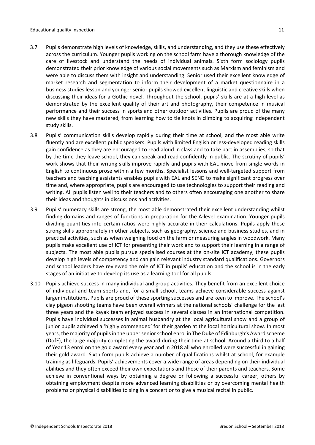- 3.7 Pupils demonstrate high levels of knowledge, skills, and understanding, and they use these effectively across the curriculum. Younger pupils working on the school farm have a thorough knowledge of the care of livestock and understand the needs of individual animals. Sixth form sociology pupils demonstrated their prior knowledge of various social movements such as Marxism and feminism and were able to discuss them with insight and understanding. Senior used their excellent knowledge of market research and segmentation to inform their development of a market questionnaire in a business studies lesson and younger senior pupils showed excellent linguistic and creative skills when discussing their ideas for a Gothic novel. Throughout the school, pupils' skills are at a high level as demonstrated by the excellent quality of their art and photography, their competence in musical performance and their success in sports and other outdoor activities. Pupils are proud of the many new skills they have mastered, from learning how to tie knots in climbing to acquiring independent study skills.
- 3.8 Pupils' communication skills develop rapidly during their time at school, and the most able write fluently and are excellent public speakers. Pupils with limited English or less-developed reading skills gain confidence as they are encouraged to read aloud in class and to take part in assemblies, so that by the time they leave school, they can speak and read confidently in public. The scrutiny of pupils' work shows that their writing skills improve rapidly and pupils with EAL move from single words in English to continuous prose within a few months. Specialist lessons and well-targeted support from teachers and teaching assistants enables pupils with EAL and SEND to make significant progress over time and, where appropriate, pupils are encouraged to use technologies to support their reading and writing. All pupils listen well to their teachers and to others often encouraging one another to share their ideas and thoughts in discussions and activities.
- 3.9 Pupils' numeracy skills are strong, the most able demonstrated their excellent understanding whilst finding domains and ranges of functions in preparation for the A-level examination. Younger pupils dividing quantities into certain ratios were highly accurate in their calculations. Pupils apply these strong skills appropriately in other subjects, such as geography, science and business studies, and in practical activities, such as when weighing food on the farm or measuring angles in woodwork. Many pupils make excellent use of ICT for presenting their work and to support their learning in a range of subjects. The most able pupils pursue specialised courses at the on-site ICT academy; these pupils develop high levels of competency and can gain relevant industry standard qualifications. Governors and school leaders have reviewed the role of ICT in pupils' education and the school is in the early stages of an initiative to develop its use as a learning tool for all pupils.
- 3.10 Pupils achieve success in many individual and group activities. They benefit from an excellent choice of individual and team sports and, for a small school, teams achieve considerable success against larger institutions. Pupils are proud of these sporting successes and are keen to improve. The school's clay pigeon shooting teams have been overall winners at the national schools' challenge for the last three years and the kayak team enjoyed success in several classes in an international competition. Pupils have individual successes in animal husbandry at the local agricultural show and a group of junior pupils achieved a 'highly commended' for their garden at the local horticultural show. In most years, the majority of pupilsin the upperseniorschool enrol in The Duke of Edinburgh's Award scheme (DofE), the large majority completing the award during their time at school. Around a third to a half of Year 13 enrol on the gold award every year and in 2018 all who enrolled were successful in gaining their gold award. Sixth form pupils achieve a number of qualifications whilst at school, for example training as lifeguards. Pupils' achievements cover a wide range of areas depending on their individual abilities and they often exceed their own expectations and those of their parents and teachers. Some achieve in conventional ways by obtaining a degree or following a successful career, others by obtaining employment despite more advanced learning disabilities or by overcoming mental health problems or physical disabilities to sing in a concert or to give a musical recital in public.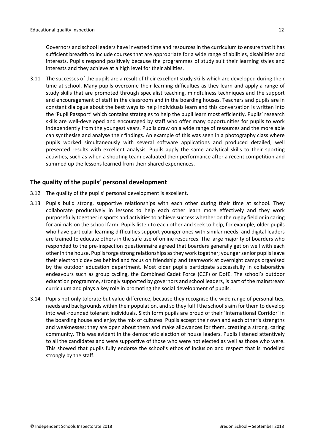Governors and school leaders have invested time and resources in the curriculum to ensure that it has sufficient breadth to include courses that are appropriate for a wide range of abilities, disabilities and interests. Pupils respond positively because the programmes of study suit their learning styles and interests and they achieve at a high level for their abilities.

3.11 The successes of the pupils are a result of their excellent study skills which are developed during their time at school. Many pupils overcome their learning difficulties as they learn and apply a range of study skills that are promoted through specialist teaching, mindfulness techniques and the support and encouragement of staff in the classroom and in the boarding houses. Teachers and pupils are in constant dialogue about the best ways to help individuals learn and this conversation is written into the 'Pupil Passport' which contains strategies to help the pupil learn most efficiently. Pupils' research skills are well-developed and encouraged by staff who offer many opportunities for pupils to work independently from the youngest years. Pupils draw on a wide range of resources and the more able can synthesise and analyse their findings. An example of this was seen in a photography class where pupils worked simultaneously with several software applications and produced detailed, well presented results with excellent analysis. Pupils apply the same analytical skills to their sporting activities, such as when a shooting team evaluated their performance after a recent competition and summed up the lessons learned from their shared experiences.

#### <span id="page-11-0"></span>**The quality of the pupils' personal development**

- 3.12 The quality of the pupils' personal development is excellent.
- 3.13 Pupils build strong, supportive relationships with each other during their time at school. They collaborate productively in lessons to help each other learn more effectively and they work purposefully together in sports and activitiesto achieve success whether on the rugby field or in caring for animals on the school farm. Pupils listen to each other and seek to help, for example, older pupils who have particular learning difficulties support younger ones with similar needs, and digital leaders are trained to educate others in the safe use of online resources. The large majority of boarders who responded to the pre-inspection questionnaire agreed that boarders generally get on well with each other in the house. Pupils forge strong relationships as they work together; younger senior pupils leave their electronic devices behind and focus on friendship and teamwork at overnight camps organised by the outdoor education department. Most older pupils participate successfully in collaborative endeavours such as group cycling, the Combined Cadet Force (CCF) or DofE. The school's outdoor education programme, strongly supported by governors and school leaders, is part of the mainstream curriculum and plays a key role in promoting the social development of pupils.
- 3.14 Pupils not only tolerate but value difference, because they recognise the wide range of personalities, needs and backgrounds within their population, and so they fulfil the school's aim for them to develop into well-rounded tolerant individuals. Sixth form pupils are proud of their 'International Corridor' in the boarding house and enjoy the mix of cultures. Pupils accept their own and each other's strengths and weaknesses; they are open about them and make allowances for them, creating a strong, caring community. This was evident in the democratic election of house leaders. Pupils listened attentively to all the candidates and were supportive of those who were not elected as well as those who were. This showed that pupils fully endorse the school's ethos of inclusion and respect that is modelled strongly by the staff.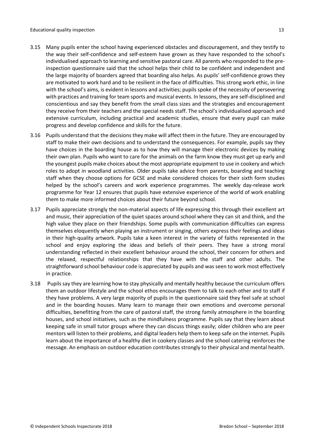- 3.15 Many pupils enter the school having experienced obstacles and discouragement, and they testify to the way their self-confidence and self-esteem have grown as they have responded to the school's individualised approach to learning and sensitive pastoral care. All parents who responded to the preinspection questionnaire said that the school helps their child to be confident and independent and the large majority of boarders agreed that boarding also helps. As pupils' self-confidence grows they are motivated to work hard and to be resilient in the face of difficulties. This strong work ethic, in line with the school's aims, is evident in lessons and activities; pupils spoke of the necessity of persevering with practices and training for team sports and musical events. In lessons, they are self-disciplined and conscientious and say they benefit from the small class sizes and the strategies and encouragement they receive from their teachers and the special needs staff. The school's individualised approach and extensive curriculum, including practical and academic studies, ensure that every pupil can make progress and develop confidence and skills for the future.
- 3.16 Pupils understand that the decisions they make will affect them in the future. They are encouraged by staff to make their own decisions and to understand the consequences. For example, pupils say they have choices in the boarding house as to how they will manage their electronic devices by making their own plan. Pupils who want to care for the animals on the farm know they must get up early and the youngest pupils make choices about the most appropriate equipment to use in cookery and which roles to adopt in woodland activities. Older pupils take advice from parents, boarding and teaching staff when they choose options for GCSE and make considered choices for their sixth form studies helped by the school's careers and work experience programmes. The weekly day-release work programme for Year 12 ensures that pupils have extensive experience of the world of work enabling them to make more informed choices about their future beyond school.
- 3.17 Pupils appreciate strongly the non-material aspects of life expressing this through their excellent art and music, their appreciation of the quiet spaces around school where they can sit and think, and the high value they place on their friendships. Some pupils with communication difficulties can express themselves eloquently when playing an instrument or singing, others express their feelings and ideas in their high-quality artwork. Pupils take a keen interest in the variety of faiths represented in the school and enjoy exploring the ideas and beliefs of their peers. They have a strong moral understanding reflected in their excellent behaviour around the school, their concern for others and the relaxed, respectful relationships that they have with the staff and other adults. The straightforward school behaviour code is appreciated by pupils and was seen to work most effectively in practice.
- 3.18 Pupilssay they are learning how to stay physically and mentally healthy because the curriculum offers them an outdoor lifestyle and the school ethos encourages them to talk to each other and to staff if they have problems. A very large majority of pupils in the questionnaire said they feel safe at school and in the boarding houses. Many learn to manage their own emotions and overcome personal difficulties, benefitting from the care of pastoral staff, the strong family atmosphere in the boarding houses, and school initiatives, such as the mindfulness programme. Pupils say that they learn about keeping safe in small tutor groups where they can discuss things easily; older children who are peer mentors will listen to their problems, and digital leaders help them to keep safe on the internet. Pupils learn about the importance of a healthy diet in cookery classes and the school catering reinforces the message. An emphasis on outdoor education contributes strongly to their physical and mental health.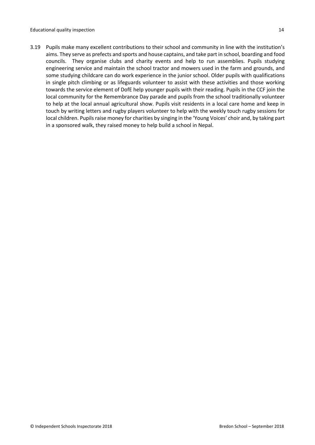3.19 Pupils make many excellent contributions to their school and community in line with the institution's aims. They serve as prefects and sports and house captains, and take part in school, boarding and food councils. They organise clubs and charity events and help to run assemblies. Pupils studying engineering service and maintain the school tractor and mowers used in the farm and grounds, and some studying childcare can do work experience in the junior school. Older pupils with qualifications in single pitch climbing or as lifeguards volunteer to assist with these activities and those working towards the service element of DofE help younger pupils with their reading. Pupils in the CCF join the local community for the Remembrance Day parade and pupils from the school traditionally volunteer to help at the local annual agricultural show. Pupils visit residents in a local care home and keep in touch by writing letters and rugby players volunteer to help with the weekly touch rugby sessions for local children. Pupils raise money for charities by singing in the 'Young Voices' choir and, by taking part in a sponsored walk, they raised money to help build a school in Nepal.